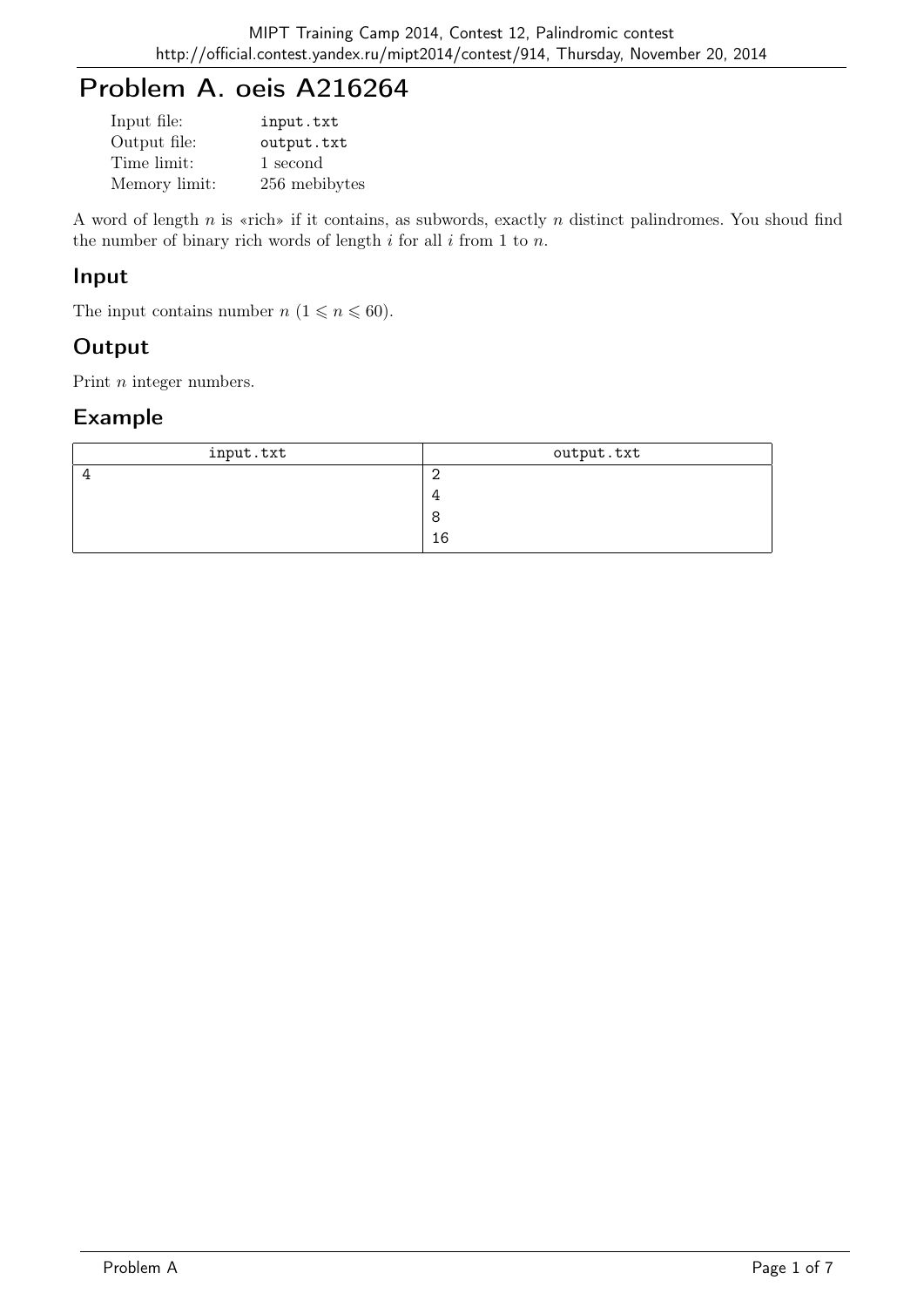## Problem A. oeis A216264

| Input file:   | input.txt     |
|---------------|---------------|
| Output file:  | output.txt    |
| Time limit:   | 1 second      |
| Memory limit: | 256 mebibytes |

A word of length n is «rich» if it contains, as subwords, exactly n distinct palindromes. You shoud find the number of binary rich words of length  $i$  for all  $i$  from 1 to  $n$ .

#### Input

The input contains number  $n (1 \leq n \leq 60)$ .

## **Output**

Print *n* integer numbers.

| input.txt | output.txt |
|-----------|------------|
|           |            |
|           |            |
|           |            |
|           | 16         |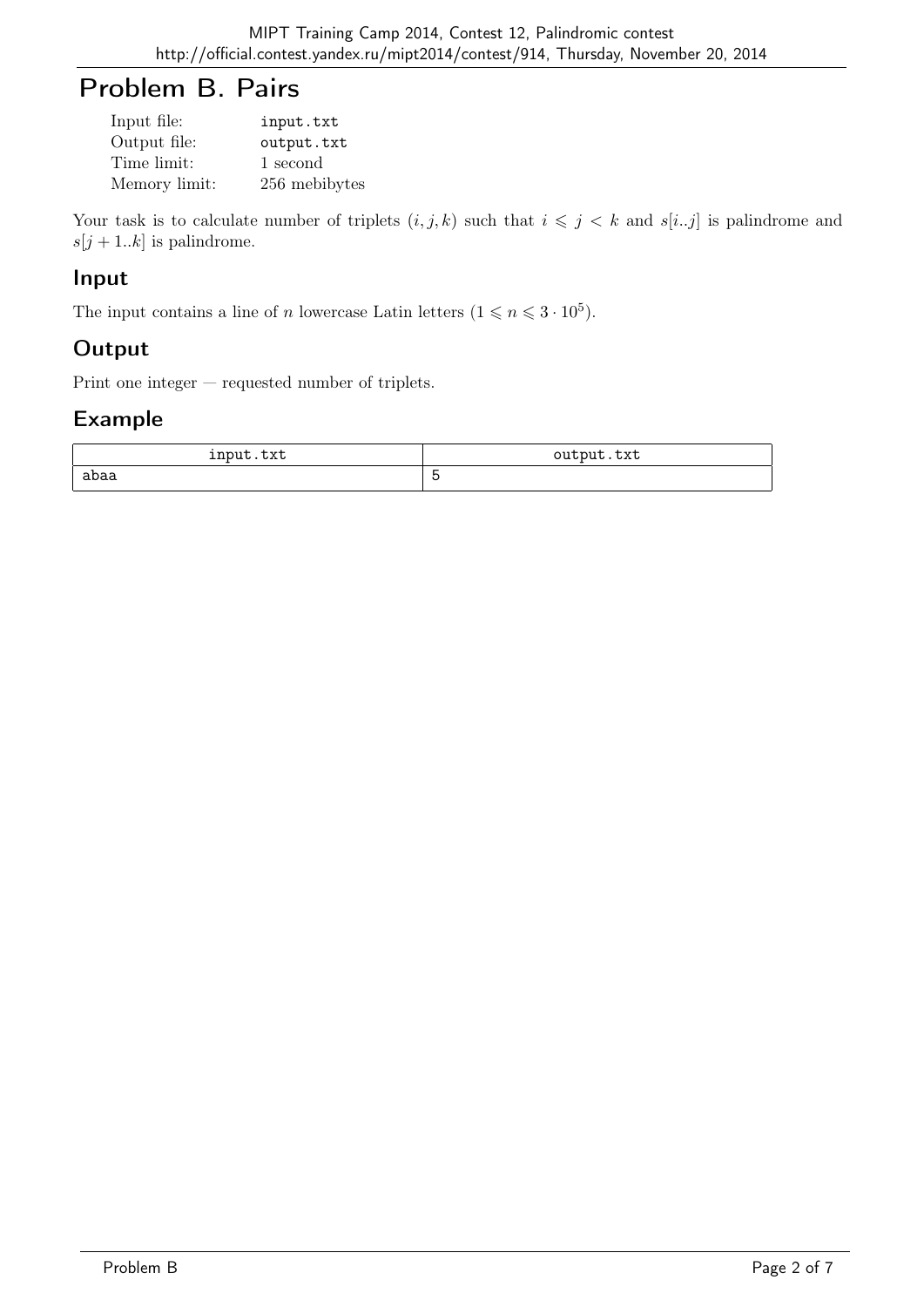## Problem B. Pairs

| Input file:   | input.txt     |
|---------------|---------------|
| Output file:  | output.txt    |
| Time limit:   | 1 second      |
| Memory limit: | 256 mebibytes |

Your task is to calculate number of triplets  $(i, j, k)$  such that  $i \leq j \leq k$  and  $s[i..j]$  is palindrome and  $s[j+1..k]$  is palindrome.

#### Input

The input contains a line of n lowercase Latin letters  $(1 \leq n \leq 3 \cdot 10^5)$ .

## **Output**

Print one integer — requested number of triplets.

| input.txt | output.txt |
|-----------|------------|
| abaa      |            |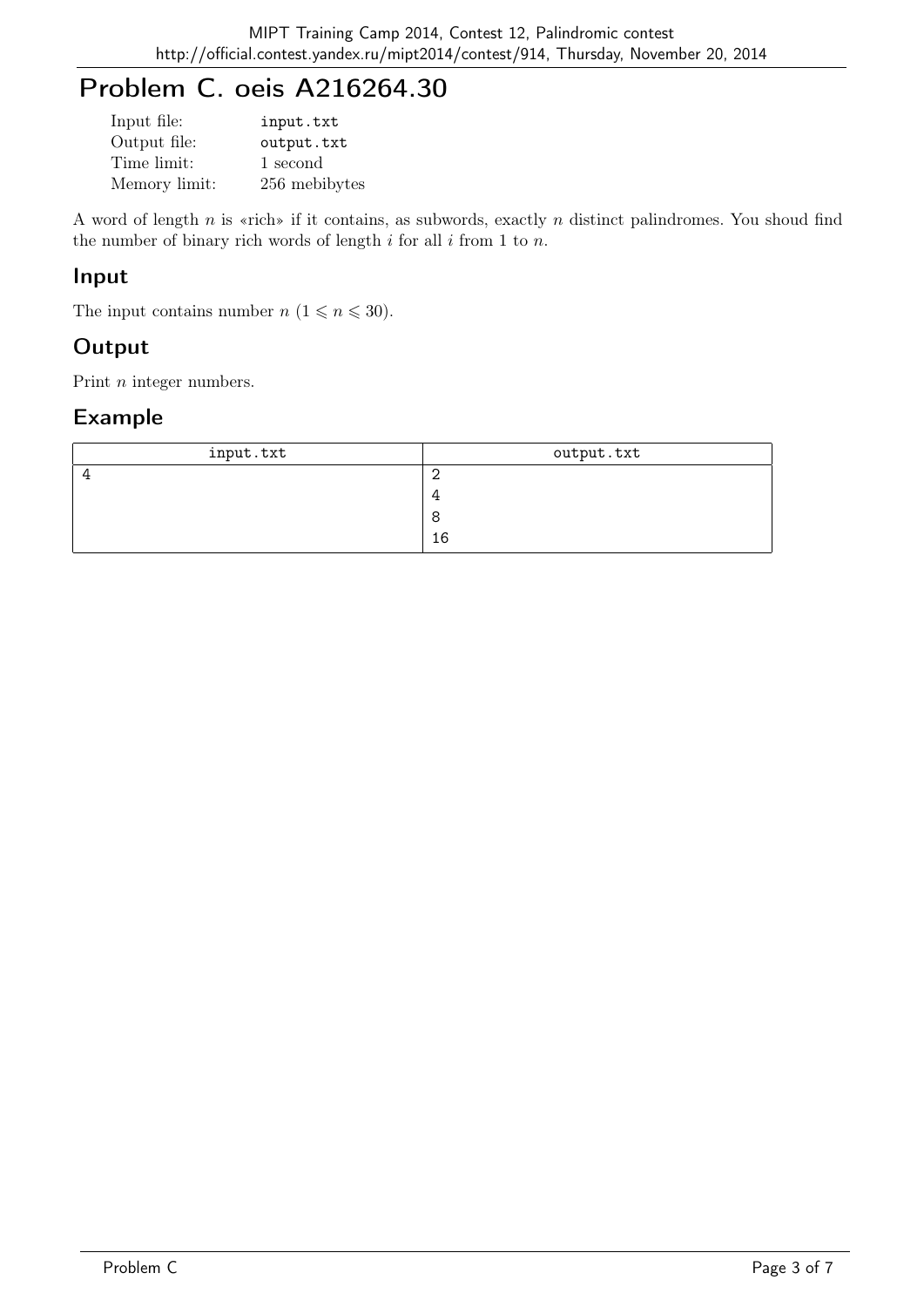# Problem C. oeis A216264.30

| Input file:   | input.txt     |
|---------------|---------------|
| Output file:  | output.txt    |
| Time limit:   | 1 second      |
| Memory limit: | 256 mebibytes |

A word of length n is «rich» if it contains, as subwords, exactly n distinct palindromes. You shoud find the number of binary rich words of length  $i$  for all  $i$  from 1 to  $n$ .

#### Input

The input contains number  $n (1 \leq n \leq 30)$ .

## **Output**

Print *n* integer numbers.

| input.txt | output.txt |
|-----------|------------|
|           |            |
|           |            |
|           |            |
|           | 16         |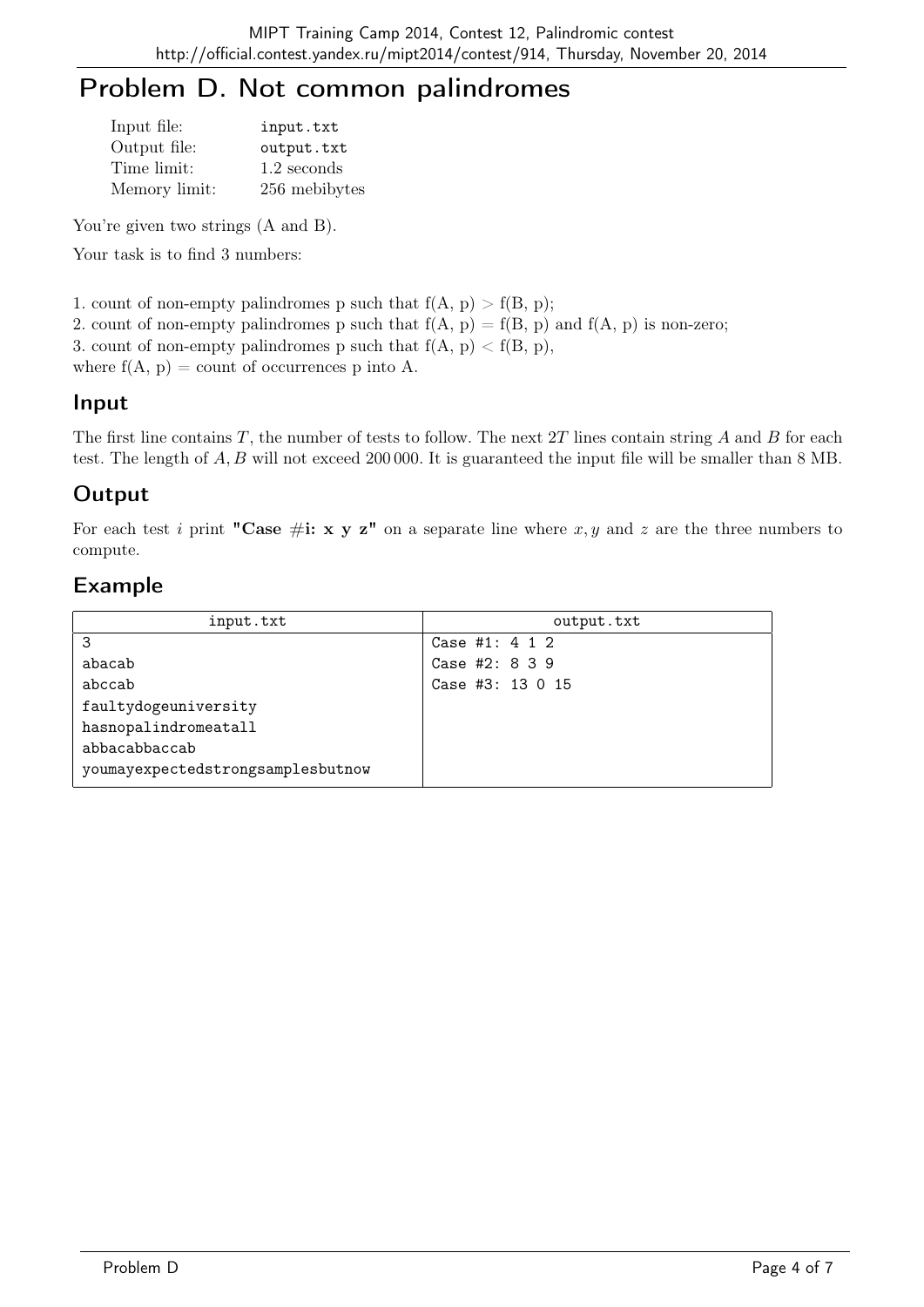## Problem D. Not common palindromes

| Input file:   | input.txt     |
|---------------|---------------|
| Output file:  | output.txt    |
| Time limit:   | 1.2 seconds   |
| Memory limit: | 256 mebibytes |

You're given two strings  $(A \text{ and } B)$ .

Your task is to find 3 numbers:

1. count of non-empty palindromes p such that  $f(A, p) > f(B, p)$ ;

2. count of non-empty palindromes p such that  $f(A, p) = f(B, p)$  and  $f(A, p)$  is non-zero;

3. count of non-empty palindromes p such that  $f(A, p) < f(B, p)$ ,

where  $f(A, p) =$  count of occurrences p into A.

#### Input

The first line contains  $T$ , the number of tests to follow. The next  $2T$  lines contain string  $A$  and  $B$  for each test. The length of A, B will not exceed 200 000. It is guaranteed the input file will be smaller than 8 MB.

### **Output**

For each test i print "Case #i: x y z" on a separate line where x, y and z are the three numbers to compute.

| input.txt                         | output.txt         |
|-----------------------------------|--------------------|
| 3                                 | Case #1: $4\ 1\ 2$ |
| abacab                            | Case #2: 8 3 9     |
| abccab                            | Case #3: 13 0 15   |
| faultydogeuniversity              |                    |
| hasnopalindromeatall              |                    |
| abbacabbaccab                     |                    |
| youmayexpectedstrongsamplesbutnow |                    |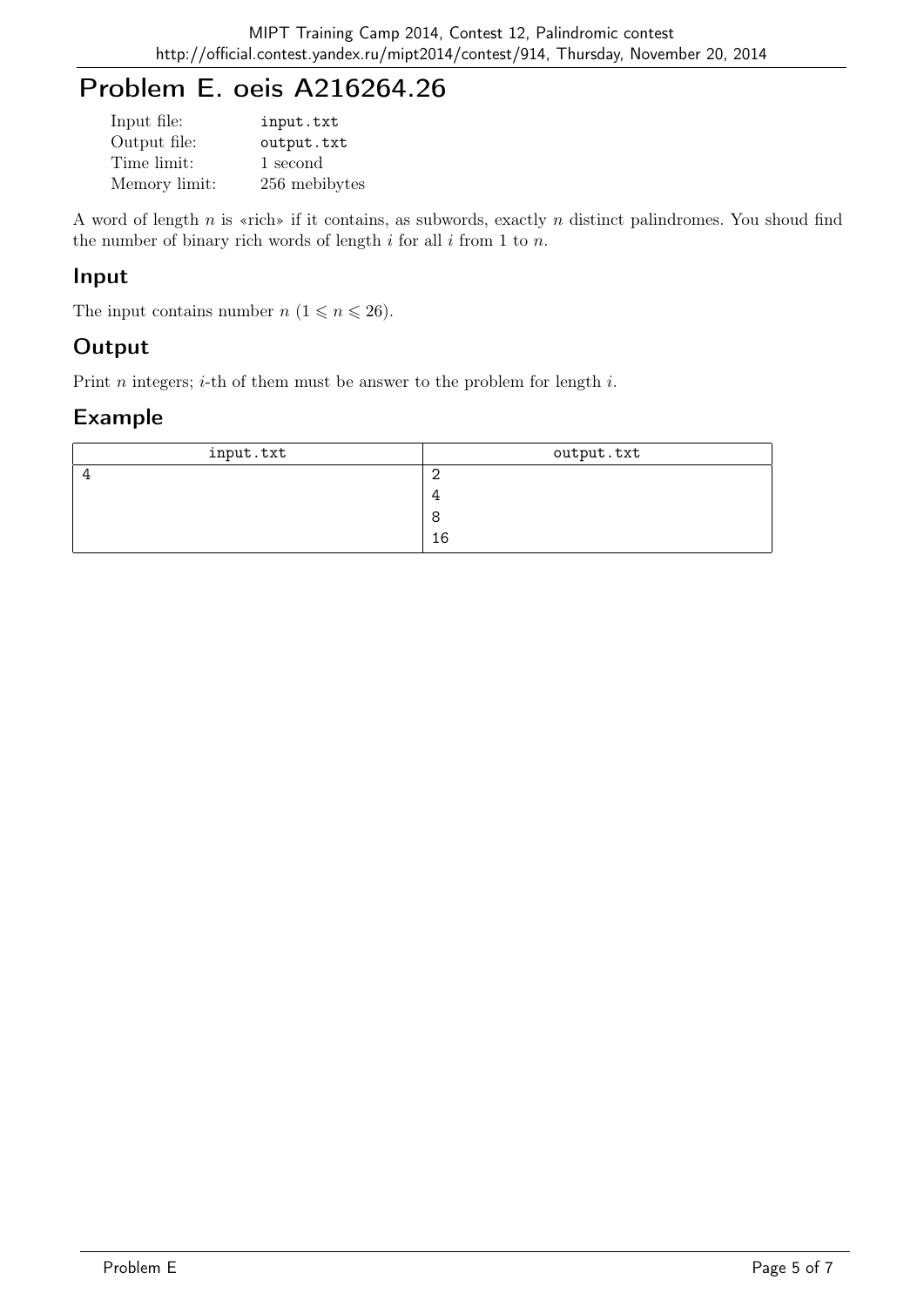# Problem E. oeis A216264.26

| Input file:   | input.txt     |
|---------------|---------------|
| Output file:  | output.txt    |
| Time limit:   | 1 second      |
| Memory limit: | 256 mebibytes |

A word of length  $n$  is «rich» if it contains, as subwords, exactly  $n$  distinct palindromes. You shoud find the number of binary rich words of length  $i$  for all  $i$  from 1 to  $n$ .

#### Input

The input contains number  $n (1 \leq n \leq 26)$ .

## **Output**

Print *n* integers; *i*-th of them must be answer to the problem for length *i*.

| input.txt | output.txt |
|-----------|------------|
|           |            |
|           |            |
|           |            |
|           | 16         |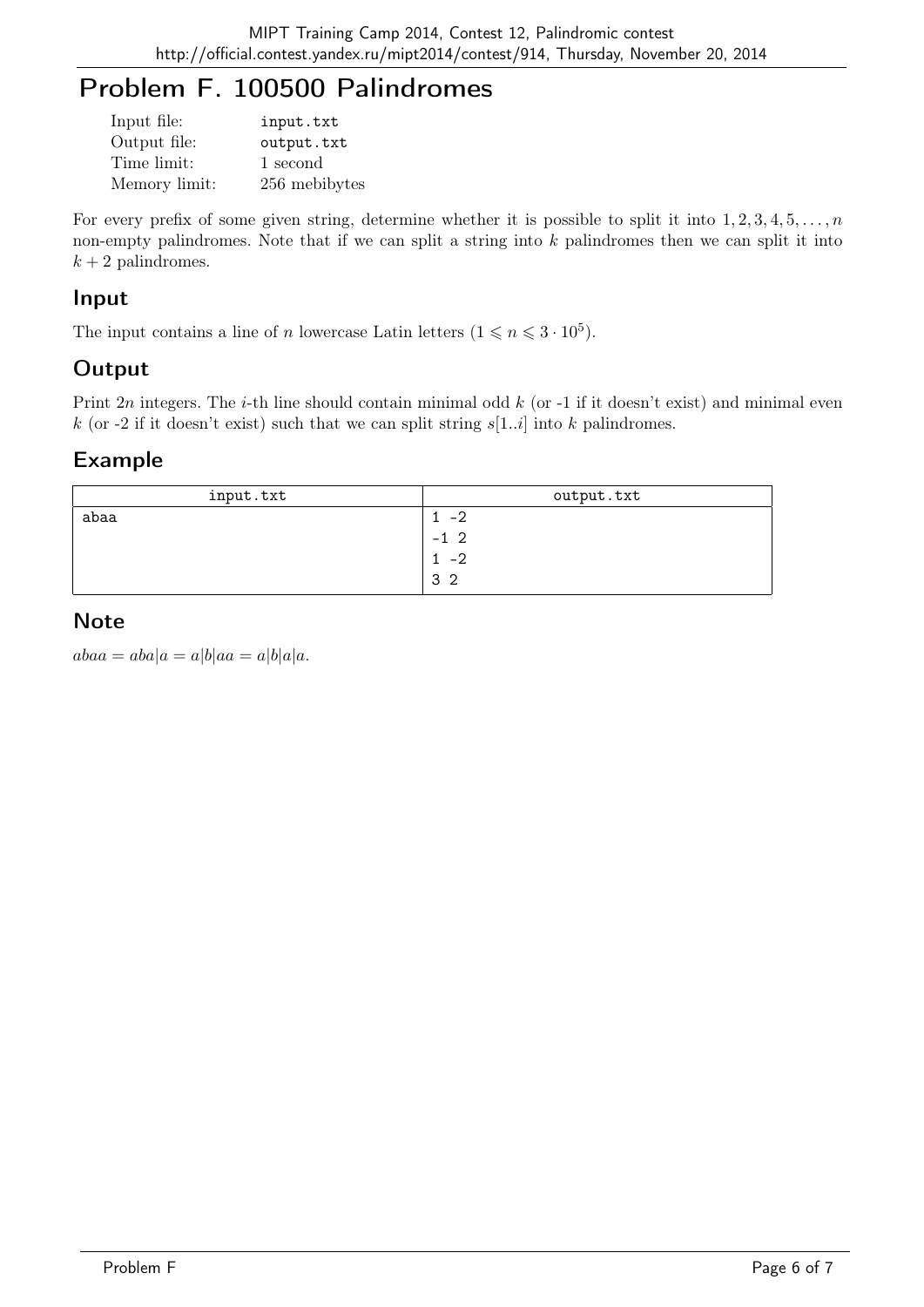# Problem F. 100500 Palindromes

| Input file:   | input.txt     |
|---------------|---------------|
| Output file:  | output.txt    |
| Time limit:   | 1 second      |
| Memory limit: | 256 mebibytes |

For every prefix of some given string, determine whether it is possible to split it into  $1, 2, 3, 4, 5, \ldots, n$ non-empty palindromes. Note that if we can split a string into k palindromes then we can split it into  $k + 2$  palindromes.

## Input

The input contains a line of n lowercase Latin letters  $(1 \leq n \leq 3 \cdot 10^5)$ .

## **Output**

Print  $2n$  integers. The *i*-th line should contain minimal odd  $k$  (or -1 if it doesn't exist) and minimal even k (or -2 if it doesn't exist) such that we can split string  $s[1..i]$  into k palindromes.

## Example

| input.txt | output.txt     |
|-----------|----------------|
| abaa      | $-2$           |
|           | $-1\,2$        |
|           | $-2$           |
|           | 3 <sub>2</sub> |

## **Note**

 $abaa = aba|a = a|b|aa = a|b|a|a.$